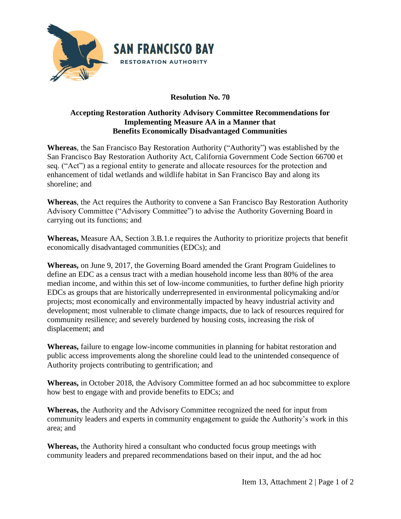

## **Resolution No. 70**

## **Accepting Restoration Authority Advisory Committee Recommendations for Implementing Measure AA in a Manner that Benefits Economically Disadvantaged Communities**

**Whereas**, the San Francisco Bay Restoration Authority ("Authority") was established by the San Francisco Bay Restoration Authority Act, California Government Code Section 66700 et seq. ("Act") as a regional entity to generate and allocate resources for the protection and enhancement of tidal wetlands and wildlife habitat in San Francisco Bay and along its shoreline; and

**Whereas**, the Act requires the Authority to convene a San Francisco Bay Restoration Authority Advisory Committee ("Advisory Committee") to advise the Authority Governing Board in carrying out its functions; and

**Whereas,** Measure AA, Section 3.B.1.e requires the Authority to prioritize projects that benefit economically disadvantaged communities (EDCs); and

**Whereas,** on June 9, 2017, the Governing Board amended the Grant Program Guidelines to define an EDC as a census tract with a median household income less than 80% of the area median income, and within this set of low-income communities, to further define high priority EDCs as groups that are historically underrepresented in environmental policymaking and/or projects; most economically and environmentally impacted by heavy industrial activity and development; most vulnerable to climate change impacts, due to lack of resources required for community resilience; and severely burdened by housing costs, increasing the risk of displacement; and

**Whereas,** failure to engage low-income communities in planning for habitat restoration and public access improvements along the shoreline could lead to the unintended consequence of Authority projects contributing to gentrification; and

**Whereas,** in October 2018, the Advisory Committee formed an ad hoc subcommittee to explore how best to engage with and provide benefits to EDCs; and

**Whereas,** the Authority and the Advisory Committee recognized the need for input from community leaders and experts in community engagement to guide the Authority's work in this area; and

**Whereas,** the Authority hired a consultant who conducted focus group meetings with community leaders and prepared recommendations based on their input, and the ad hoc